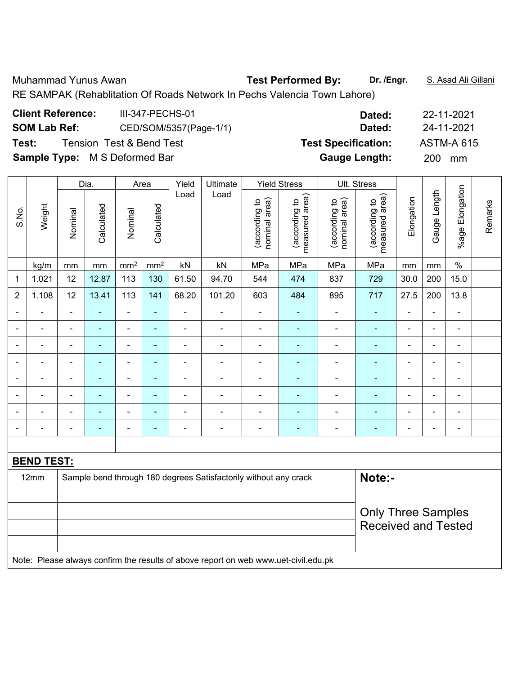RE SAMPAK (Rehablitation Of Roads Network In Pechs Valencia Town Lahore)

| <b>Client Reference:</b><br>III-347-PECHS-01  | Dated:                     | 22-11-2021        |
|-----------------------------------------------|----------------------------|-------------------|
| <b>SOM Lab Ref:</b><br>CED/SOM/5357(Page-1/1) | Dated:                     | 24-11-2021        |
| <b>Tension Test &amp; Bend Test</b><br>Test:  | <b>Test Specification:</b> | <b>ASTM-A 615</b> |
| <b>Sample Type:</b> M S Deformed Bar          | <b>Gauge Length:</b>       | 200 l<br>mm       |

|                |                   |                            | Dia.<br>Area   |                              |                 | Yield<br>Ultimate |                                                                                     | <b>Yield Stress</b>            |                                 | Ult. Stress                    |                                 |                |                |                          |         |
|----------------|-------------------|----------------------------|----------------|------------------------------|-----------------|-------------------|-------------------------------------------------------------------------------------|--------------------------------|---------------------------------|--------------------------------|---------------------------------|----------------|----------------|--------------------------|---------|
| S.No.          | Weight            | Nominal                    | Calculated     | Nominal                      | Calculated      | Load              | Load                                                                                | nominal area)<br>(according to | (according to<br>measured area) | nominal area)<br>(according to | measured area)<br>(according to | Elongation     | Gauge Length   | %age Elongation          | Remarks |
|                | kg/m              | mm                         | $\,mm$         | $\rm mm^2$                   | mm <sup>2</sup> | kN                | kN                                                                                  | MPa                            | MPa                             | MPa                            | MPa                             | mm             | mm             | $\%$                     |         |
| 1              | 1.021             | 12                         | 12.87          | 113                          | 130             | 61.50             | 94.70                                                                               | 544                            | 474                             | 837                            | 729                             | 30.0           | 200            | 15.0                     |         |
| $\overline{2}$ | 1.108             | 12                         | 13.41          | 113                          | $141$           | 68.20             | 101.20                                                                              | 603                            | 484                             | 895                            | 717                             | 27.5           | 200            | 13.8                     |         |
| $\blacksquare$ |                   | $\blacksquare$             | $\blacksquare$ | ÷,                           | ÷,              | $\blacksquare$    |                                                                                     | $\blacksquare$                 | $\blacksquare$                  | ä,                             | ÷,                              | $\blacksquare$ | $\blacksquare$ | $\blacksquare$           |         |
| $\blacksquare$ | $\blacksquare$    | $\blacksquare$             | $\blacksquare$ | $\qquad \qquad \blacksquare$ | $\blacksquare$  | $\blacksquare$    | $\overline{\phantom{a}}$                                                            | $\blacksquare$                 | $\blacksquare$                  | $\blacksquare$                 | $\blacksquare$                  | $\blacksquare$ | $\blacksquare$ | $\overline{\phantom{a}}$ |         |
| ÷              | ÷                 | $\blacksquare$             | $\blacksquare$ | $\overline{\phantom{0}}$     | ÷,              | ÷,                | $\qquad \qquad \blacksquare$                                                        | $\blacksquare$                 | ٠                               | $\overline{\phantom{a}}$       | $\blacksquare$                  | $\blacksquare$ | Ē,             | $\overline{\phantom{a}}$ |         |
| $\blacksquare$ | $\blacksquare$    | $\blacksquare$             | $\blacksquare$ | $\overline{\phantom{0}}$     | $\blacksquare$  | $\blacksquare$    | $\overline{\phantom{a}}$                                                            | $\blacksquare$                 | $\blacksquare$                  | $\blacksquare$                 | ÷,                              | $\blacksquare$ | $\blacksquare$ | $\blacksquare$           |         |
|                | $\blacksquare$    | $\blacksquare$             | $\blacksquare$ | $\blacksquare$               | $\blacksquare$  | $\blacksquare$    | $\blacksquare$                                                                      | $\blacksquare$                 | $\blacksquare$                  | $\blacksquare$                 | ä,                              | L.             | ä,             | $\blacksquare$           |         |
|                |                   |                            |                | ÷                            | ٠               | $\blacksquare$    | -                                                                                   |                                | $\blacksquare$                  |                                |                                 |                | L,             | ä,                       |         |
|                |                   |                            |                | ۰                            |                 |                   | $\blacksquare$                                                                      |                                | ۰                               |                                |                                 |                |                | $\blacksquare$           |         |
| ۰              |                   | $\blacksquare$             | $\blacksquare$ | ۰                            | $\blacksquare$  | $\blacksquare$    | $\blacksquare$                                                                      | $\blacksquare$                 | ÷                               | ÷                              | $\blacksquare$                  | $\blacksquare$ | $\blacksquare$ | $\blacksquare$           |         |
|                |                   |                            |                |                              |                 |                   |                                                                                     |                                |                                 |                                |                                 |                |                |                          |         |
|                | <b>BEND TEST:</b> |                            |                |                              |                 |                   |                                                                                     |                                |                                 |                                |                                 |                |                |                          |         |
|                | 12mm              |                            |                |                              |                 |                   | Sample bend through 180 degrees Satisfactorily without any crack                    |                                |                                 |                                | Note:-                          |                |                |                          |         |
|                |                   |                            |                |                              |                 |                   |                                                                                     |                                |                                 |                                |                                 |                |                |                          |         |
|                |                   |                            |                |                              |                 |                   |                                                                                     |                                |                                 |                                | <b>Only Three Samples</b>       |                |                |                          |         |
|                |                   | <b>Received and Tested</b> |                |                              |                 |                   |                                                                                     |                                |                                 |                                |                                 |                |                |                          |         |
|                |                   |                            |                |                              |                 |                   |                                                                                     |                                |                                 |                                |                                 |                |                |                          |         |
|                |                   |                            |                |                              |                 |                   | Note: Please always confirm the results of above report on web www.uet-civil.edu.pk |                                |                                 |                                |                                 |                |                |                          |         |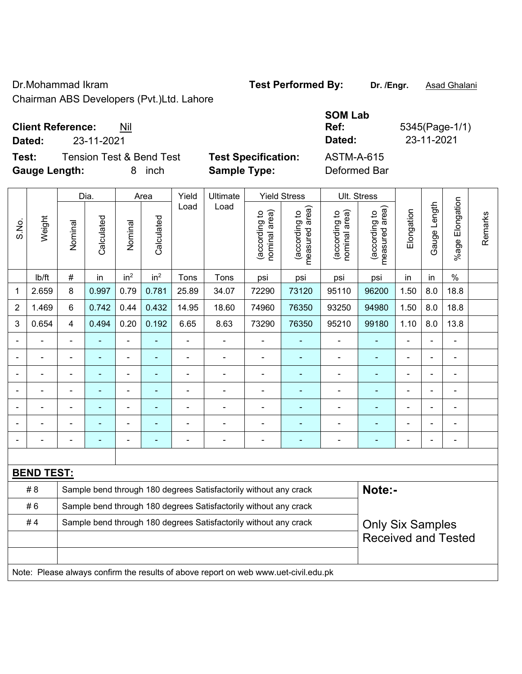Dr.Mohammad Ikram **Test Performed By:** Dr. /Engr. **Asad Ghalani** 

Chairman ABS Developers (Pvt.)Ltd. Lahore

**Dated:** 23-11-2021 **Dated:** 23-11-2021

**Test:** Tension Test & Bend Test **Test Specification:** Gauge Length: **8** inch **Sample Type:** 

| ASTM-A-615   |  |
|--------------|--|
| Deformed Bar |  |

**SOM Lab** 

**Ref:** 5345(Page-1/1)

|                |                   | Dia.           |                |                 | Yield<br>Ultimate<br><b>Yield Stress</b><br>Area |                |                                                                                     |                                |                                 | <b>Ult. Stress</b>             |                                             |                |                |                            |         |
|----------------|-------------------|----------------|----------------|-----------------|--------------------------------------------------|----------------|-------------------------------------------------------------------------------------|--------------------------------|---------------------------------|--------------------------------|---------------------------------------------|----------------|----------------|----------------------------|---------|
| S.No.          | Weight            | Nominal        | Calculated     | Nominal         | Calculated                                       | Load           | Load                                                                                | nominal area)<br>(according to | (according to<br>measured area) | (according to<br>nominal area) | (according to<br>measured area)<br>measured | Elongation     | Gauge Length   | Elongation<br>$%$ age      | Remarks |
|                | lb/ft             | $\#$           | in             | in <sup>2</sup> | in <sup>2</sup>                                  | Tons           | Tons                                                                                | psi                            | psi                             | psi                            | psi                                         | in             | in             | $\%$                       |         |
| 1              | 2.659             | 8              | 0.997          | 0.79            | 0.781                                            | 25.89          | 34.07                                                                               | 72290                          | 73120                           | 95110                          | 96200                                       | 1.50           | 8.0            | 18.8                       |         |
| $\overline{2}$ | 1.469             | 6              | 0.742          | 0.44            | 0.432                                            | 14.95          | 18.60                                                                               | 74960                          | 76350                           | 93250                          | 94980                                       | 1.50           | 8.0            | 18.8                       |         |
| 3              | 0.654             | $\overline{4}$ | 0.494          | 0.20            | 0.192                                            | 6.65           | 8.63                                                                                | 73290                          | 76350                           | 95210                          | 99180                                       | 1.10           | 8.0            | 13.8                       |         |
|                |                   |                | $\blacksquare$ | ä,              |                                                  |                | ÷                                                                                   | $\blacksquare$                 |                                 |                                |                                             | $\blacksquare$ |                | ä,                         |         |
|                |                   | $\blacksquare$ | ۰              | ÷               | ٠                                                |                | $\blacksquare$                                                                      | $\blacksquare$                 | $\blacksquare$                  | ÷                              | $\blacksquare$                              |                | $\blacksquare$ | $\blacksquare$             |         |
|                |                   |                | $\blacksquare$ | ÷,              |                                                  | $\blacksquare$ | ä,                                                                                  | $\blacksquare$                 | $\blacksquare$                  | $\overline{\phantom{a}}$       | $\blacksquare$                              | $\blacksquare$ |                | $\blacksquare$             |         |
|                | ä,                |                | ٠              | ÷               | ÷                                                | $\overline{a}$ | ÷                                                                                   | $\blacksquare$                 | $\blacksquare$                  | $\blacksquare$                 | $\blacksquare$                              | $\blacksquare$ |                | $\blacksquare$             |         |
|                |                   |                |                | $\blacksquare$  |                                                  | $\blacksquare$ | L.                                                                                  |                                |                                 | $\blacksquare$                 |                                             |                |                | L,                         |         |
|                |                   |                |                | $\blacksquare$  |                                                  |                |                                                                                     | $\blacksquare$                 |                                 | ÷                              |                                             |                |                | L,                         |         |
|                |                   |                | ۰              | ÷               |                                                  |                | ÷                                                                                   | $\blacksquare$                 |                                 | ÷                              | ä,                                          |                |                | $\blacksquare$             |         |
|                |                   |                |                |                 |                                                  |                |                                                                                     |                                |                                 |                                |                                             |                |                |                            |         |
|                | <b>BEND TEST:</b> |                |                |                 |                                                  |                |                                                                                     |                                |                                 |                                |                                             |                |                |                            |         |
|                | # 8               |                |                |                 |                                                  |                | Sample bend through 180 degrees Satisfactorily without any crack                    |                                |                                 |                                | Note:-                                      |                |                |                            |         |
|                | #6                |                |                |                 |                                                  |                | Sample bend through 180 degrees Satisfactorily without any crack                    |                                |                                 |                                |                                             |                |                |                            |         |
|                | #4                |                |                |                 |                                                  |                | Sample bend through 180 degrees Satisfactorily without any crack                    |                                |                                 |                                | <b>Only Six Samples</b>                     |                |                |                            |         |
|                |                   |                |                |                 |                                                  |                |                                                                                     |                                |                                 |                                |                                             |                |                | <b>Received and Tested</b> |         |
|                |                   |                |                |                 |                                                  |                |                                                                                     |                                |                                 |                                |                                             |                |                |                            |         |
|                |                   |                |                |                 |                                                  |                | Note: Please always confirm the results of above report on web www.uet-civil.edu.pk |                                |                                 |                                |                                             |                |                |                            |         |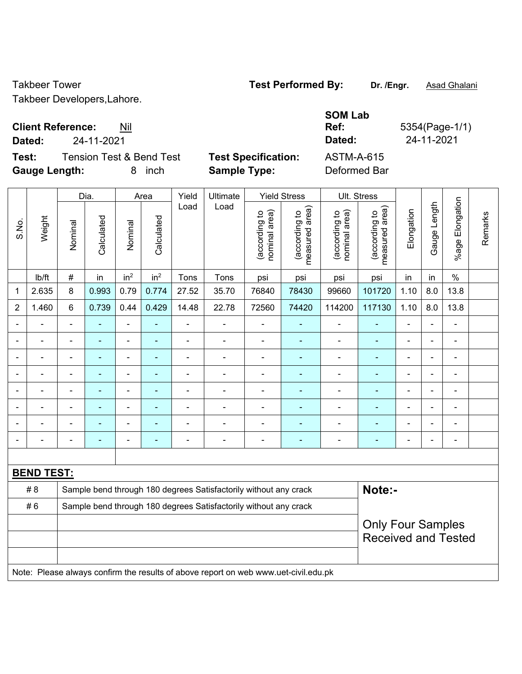Takbeer Developers,Lahore.

## **Client Reference:** Nil

**Dated:** 24-11-2021 **Dated:** 24-11-2021

 $\overline{\mathbf{r}}$ 

**Test:** Tension Test & Bend Test **Test Specification: Gauge Length:** 8 inch **Sample Type:** Deformed Bar

| <b>Test Specification</b> |  |
|---------------------------|--|
|                           |  |

| ASTM-A-615 |  |
|------------|--|
|            |  |

**SOM Lab** 

**Ref:** 5354(Page-1/1)

|                          |                   |                | Dia.       |                 | Yield<br>Area   |                | Ultimate                                                                            |                                | <b>Yield Stress</b>             |                                | Ult. Stress                     |                          |                |                            |         |
|--------------------------|-------------------|----------------|------------|-----------------|-----------------|----------------|-------------------------------------------------------------------------------------|--------------------------------|---------------------------------|--------------------------------|---------------------------------|--------------------------|----------------|----------------------------|---------|
| S.No.                    | Weight            | Nominal        | Calculated | Nominal         | Calculated      | Load           | Load                                                                                | nominal area)<br>(according to | (according to<br>measured area) | (according to<br>nominal area) | (according to<br>measured area) | Elongation               | Gauge Length   | %age Elongation            | Remarks |
|                          | Ib/ft             | $\#$           | in         | in <sup>2</sup> | in <sup>2</sup> | Tons           | Tons                                                                                | psi                            | psi                             | psi                            | psi                             | in                       | in             | $\%$                       |         |
| $\mathbf 1$              | 2.635             | 8              | 0.993      | 0.79            | 0.774           | 27.52          | 35.70                                                                               | 76840                          | 78430                           | 99660                          | 101720                          | 1.10                     | 8.0            | 13.8                       |         |
| $\boldsymbol{2}$         | 1.460             | $6\phantom{1}$ | 0.739      | 0.44            | 0.429           | 14.48          | 22.78                                                                               | 72560                          | 74420                           | 114200                         | 117130                          | 1.10                     | 8.0            | 13.8                       |         |
| $\blacksquare$           |                   | $\blacksquare$ |            | ä,              | ÷,              |                | $\qquad \qquad \blacksquare$                                                        | $\qquad \qquad \blacksquare$   | ٠                               | $\blacksquare$                 | ÷                               |                          | $\blacksquare$ | $\overline{\phantom{a}}$   |         |
|                          |                   |                |            |                 |                 |                | $\blacksquare$                                                                      | $\blacksquare$                 | ٠                               |                                | $\blacksquare$                  |                          | ÷              |                            |         |
|                          |                   |                |            |                 |                 |                |                                                                                     |                                |                                 |                                |                                 |                          |                |                            |         |
| $\overline{\phantom{a}}$ |                   |                |            | ä,              | ä,              |                | $\blacksquare$                                                                      | $\blacksquare$                 | ÷                               | $\blacksquare$                 | ۰                               | $\blacksquare$           | $\blacksquare$ | $\blacksquare$             |         |
| $\blacksquare$           | $\blacksquare$    | $\blacksquare$ |            | $\blacksquare$  | ۰               | $\blacksquare$ | ÷                                                                                   | $\blacksquare$                 | $\blacksquare$                  | $\overline{a}$                 | $\blacksquare$                  | $\overline{\phantom{0}}$ | $\blacksquare$ | $\blacksquare$             |         |
| $\blacksquare$           |                   |                |            |                 | ÷,              |                | ÷                                                                                   | $\blacksquare$                 | ÷                               |                                |                                 |                          | $\blacksquare$ |                            |         |
|                          |                   |                |            |                 |                 |                |                                                                                     |                                |                                 |                                |                                 |                          |                |                            |         |
|                          |                   | $\blacksquare$ |            |                 |                 |                | $\blacksquare$                                                                      | $\blacksquare$                 | $\overline{\phantom{a}}$        | $\blacksquare$                 |                                 |                          | $\blacksquare$ | $\blacksquare$             |         |
|                          |                   |                |            |                 |                 |                |                                                                                     |                                |                                 |                                |                                 |                          |                |                            |         |
|                          | <b>BEND TEST:</b> |                |            |                 |                 |                |                                                                                     |                                |                                 |                                |                                 |                          |                |                            |         |
|                          | # 8               |                |            |                 |                 |                | Sample bend through 180 degrees Satisfactorily without any crack                    |                                |                                 |                                | Note:-                          |                          |                |                            |         |
|                          | #6                |                |            |                 |                 |                | Sample bend through 180 degrees Satisfactorily without any crack                    |                                |                                 |                                |                                 |                          |                |                            |         |
|                          |                   |                |            |                 |                 |                |                                                                                     |                                |                                 |                                | <b>Only Four Samples</b>        |                          |                |                            |         |
|                          |                   |                |            |                 |                 |                |                                                                                     |                                |                                 |                                |                                 |                          |                | <b>Received and Tested</b> |         |
|                          |                   |                |            |                 |                 |                |                                                                                     |                                |                                 |                                |                                 |                          |                |                            |         |
|                          |                   |                |            |                 |                 |                | Note: Please always confirm the results of above report on web www.uet-civil.edu.pk |                                |                                 |                                |                                 |                          |                |                            |         |

# Takbeer Tower **Test Performed By:** Dr. /Engr. **Asad Ghalani**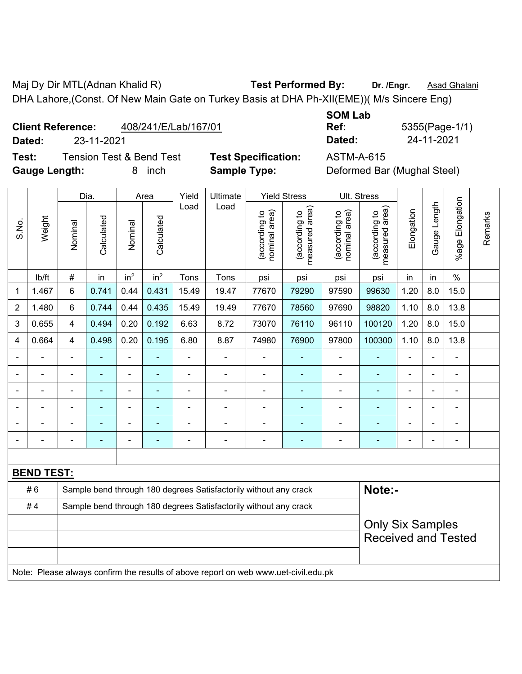Maj Dy Dir MTL(Adnan Khalid R) **Test Performed By:** Dr. /Engr. **Asad Ghalani** DHA Lahore,(Const. Of New Main Gate on Turkey Basis at DHA Ph-XII(EME))( M/s Sincere Eng)

| <b>Client Reference:</b> | 408/241/E/Lab/167/01 |
|--------------------------|----------------------|
|                          |                      |

**Test:** Tension Test & Bend Test **Test Specification:** ASTM-A-615 **Gauge Length:** 8 inch **Sample Type:** Deformed Bar (Mughal Steel)

**SOM Lab Ref:** 5355(Page-1/1) **Dated:** 23-11-2021 **Dated:** 24-11-2021

|                |                   | Dia.           |            |                          | Area            |                | Ultimate                                                                            |                                | <b>Yield Stress</b>             |                                | Ult. Stress                     |                |              |                 |         |
|----------------|-------------------|----------------|------------|--------------------------|-----------------|----------------|-------------------------------------------------------------------------------------|--------------------------------|---------------------------------|--------------------------------|---------------------------------|----------------|--------------|-----------------|---------|
| S.No.          | Weight            | Nominal        | Calculated | Nominal                  | Calculated      | Load           | Load                                                                                | nominal area)<br>(according to | (according to<br>measured area) | nominal area)<br>(according to | measured area)<br>(according to | Elongation     | Gauge Length | %age Elongation | Remarks |
|                | lb/ft             | #              | in         | in <sup>2</sup>          | in <sup>2</sup> | Tons           | Tons                                                                                | psi                            | psi                             | psi                            | psi                             | in             | in           | $\%$            |         |
| 1              | 1.467             | 6              | 0.741      | 0.44                     | 0.431           | 15.49          | 19.47                                                                               | 77670                          | 79290                           | 97590                          | 99630                           | 1.20           | 8.0          | 15.0            |         |
| $\overline{2}$ | 1.480             | 6              | 0.744      | 0.44                     | 0.435           | 15.49          | 19.49                                                                               | 77670                          | 78560                           | 97690                          | 98820                           | 1.10           | 8.0          | 13.8            |         |
| 3              | 0.655             | 4              | 0.494      | 0.20                     | 0.192           | 6.63           | 8.72                                                                                | 73070                          | 76110                           | 96110                          | 100120                          | 1.20           | 8.0          | 15.0            |         |
| 4              | 0.664             | 4              | 0.498      | 0.20                     | 0.195           | 6.80           | 8.87                                                                                | 74980                          | 76900                           | 97800                          | 100300                          | 1.10           | 8.0          | 13.8            |         |
|                |                   | $\blacksquare$ | ä,         | $\blacksquare$           | $\blacksquare$  | ä,             | ä,                                                                                  | $\blacksquare$                 |                                 |                                | ä,                              | $\overline{a}$ |              | ÷.              |         |
|                |                   |                | ä,         | ä,                       |                 | $\blacksquare$ | L,                                                                                  | $\blacksquare$                 |                                 | ä,                             | $\blacksquare$                  | $\blacksquare$ |              | ÷.              |         |
|                |                   |                |            |                          |                 |                |                                                                                     |                                |                                 |                                |                                 |                |              | $\overline{a}$  |         |
|                |                   |                |            |                          |                 |                |                                                                                     | $\blacksquare$                 |                                 |                                |                                 |                |              | $\blacksquare$  |         |
|                |                   | $\blacksquare$ |            | $\overline{\phantom{0}}$ | $\blacksquare$  |                |                                                                                     | $\blacksquare$                 |                                 |                                | $\blacksquare$                  |                |              | ۰               |         |
|                |                   |                |            | ä,                       |                 |                | ä,                                                                                  | $\blacksquare$                 | ۰                               | $\blacksquare$                 | $\blacksquare$                  |                |              | ÷,              |         |
|                |                   |                |            |                          |                 |                |                                                                                     |                                |                                 |                                |                                 |                |              |                 |         |
|                | <b>BEND TEST:</b> |                |            |                          |                 |                |                                                                                     |                                |                                 |                                |                                 |                |              |                 |         |
|                | #6                |                |            |                          |                 |                | Sample bend through 180 degrees Satisfactorily without any crack                    |                                |                                 |                                | Note:-                          |                |              |                 |         |
|                | #4                |                |            |                          |                 |                | Sample bend through 180 degrees Satisfactorily without any crack                    |                                |                                 |                                |                                 |                |              |                 |         |
|                |                   |                |            |                          |                 |                |                                                                                     |                                |                                 |                                | <b>Only Six Samples</b>         |                |              |                 |         |
|                |                   |                |            |                          |                 |                | <b>Received and Tested</b>                                                          |                                |                                 |                                |                                 |                |              |                 |         |
|                |                   |                |            |                          |                 |                |                                                                                     |                                |                                 |                                |                                 |                |              |                 |         |
|                |                   |                |            |                          |                 |                | Note: Please always confirm the results of above report on web www.uet-civil.edu.pk |                                |                                 |                                |                                 |                |              |                 |         |
|                |                   |                |            |                          |                 |                |                                                                                     |                                |                                 |                                |                                 |                |              |                 |         |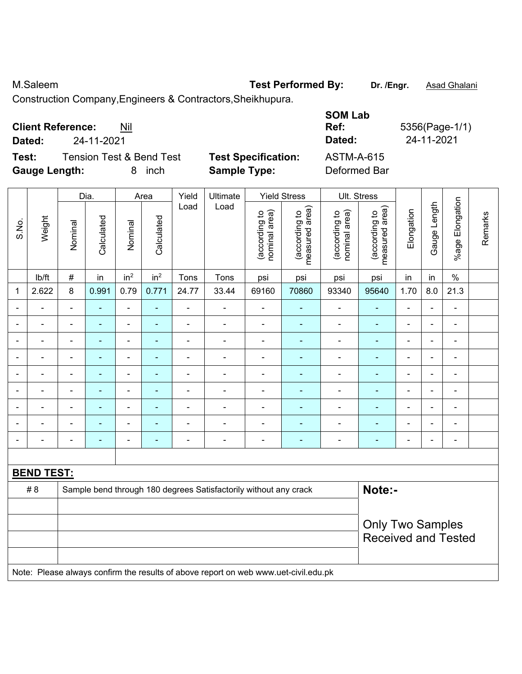M.Saleem **M.Saleem Test Performed By:** Dr. /Engr. **Asad Ghalani** 

Construction Company,Engineers & Contractors,Sheikhupura.

| <b>Client Reference:</b><br>Nil              | Ref:                       | <b>SOM Lab</b><br>5356(Page-1/1) |
|----------------------------------------------|----------------------------|----------------------------------|
| 24-11-2021<br>Dated:                         | Dated:                     | 24-11-2021                       |
| <b>Tension Test &amp; Bend Test</b><br>Test: | <b>Test Specification:</b> | ASTM-A-615                       |
| <b>Gauge Length:</b><br><i>inch</i><br>8     | <b>Sample Type:</b>        | Deformed Bar                     |

|       |                   |                                                       | Dia.                     |                          | Area                     | Yield                    | Ultimate                                                                            |                                | <b>Yield Stress</b>             |                                | Ult. Stress                     |                              |                |                 |         |
|-------|-------------------|-------------------------------------------------------|--------------------------|--------------------------|--------------------------|--------------------------|-------------------------------------------------------------------------------------|--------------------------------|---------------------------------|--------------------------------|---------------------------------|------------------------------|----------------|-----------------|---------|
| S.No. | Weight            | Nominal                                               | Calculated               | Nominal                  | Calculated               | Load                     | Load                                                                                | nominal area)<br>(according to | measured area)<br>(according to | (according to<br>nominal area) | measured area)<br>(according to | Elongation                   | Gauge Length   | %age Elongation | Remarks |
|       | lb/ft             | $\#$                                                  | in                       | in <sup>2</sup>          | in <sup>2</sup>          | Tons                     | Tons                                                                                | psi                            | psi                             | psi                            | psi                             | in                           | in             | $\%$            |         |
| 1     | 2.622             | 8                                                     | 0.991                    | 0.79                     | 0.771                    | 24.77                    | 33.44                                                                               | 69160                          | 70860                           | 93340                          | 95640                           | 1.70                         | 8.0            | 21.3            |         |
|       | ä,                | $\blacksquare$                                        | ÷,                       | ÷,                       | $\blacksquare$           | $\blacksquare$           | ä,                                                                                  | ÷,                             | $\blacksquare$                  | $\blacksquare$                 | $\blacksquare$                  | $\blacksquare$               |                | $\blacksquare$  |         |
|       | ÷                 | $\blacksquare$                                        | ۰                        | $\overline{\phantom{a}}$ | ٠                        | $\overline{\phantom{a}}$ | $\overline{\phantom{a}}$                                                            | $\blacksquare$                 | $\blacksquare$                  | $\overline{\phantom{a}}$       | $\blacksquare$                  | $\blacksquare$               | $\blacksquare$ | $\blacksquare$  |         |
|       | $\blacksquare$    | $\blacksquare$                                        | $\blacksquare$           | ÷                        | $\blacksquare$           | Ē,                       | Ē,                                                                                  | $\blacksquare$                 | ۰                               | ä,                             | $\blacksquare$                  | $\blacksquare$               |                | $\blacksquare$  |         |
|       | ÷                 |                                                       | ٠                        | ÷,                       |                          | ä,                       | ä,                                                                                  | $\blacksquare$                 | ۰                               | $\blacksquare$                 | $\blacksquare$                  | $\blacksquare$               |                | $\blacksquare$  |         |
|       |                   |                                                       | ۳                        | ۰                        |                          | Ē,                       | L.                                                                                  |                                |                                 | ä,                             |                                 | $\blacksquare$               |                | $\blacksquare$  |         |
|       |                   |                                                       | $\blacksquare$           | ÷                        |                          | Ē,                       | L.                                                                                  | $\blacksquare$                 | ۰                               | $\blacksquare$                 |                                 | $\blacksquare$               |                | $\blacksquare$  |         |
|       | $\blacksquare$    |                                                       | $\blacksquare$           | ÷                        |                          | $\blacksquare$           | ÷                                                                                   | $\blacksquare$                 | $\blacksquare$                  | ۰                              | $\blacksquare$                  | $\blacksquare$               |                | $\blacksquare$  |         |
|       |                   |                                                       | $\overline{\phantom{0}}$ | ÷                        |                          |                          |                                                                                     | $\blacksquare$                 |                                 | ÷                              |                                 | $\blacksquare$               |                | $\blacksquare$  |         |
|       |                   | $\blacksquare$                                        | $\overline{\phantom{0}}$ | ۰                        | $\overline{\phantom{0}}$ | $\overline{\phantom{0}}$ | $\overline{\phantom{a}}$                                                            | $\blacksquare$                 | $\blacksquare$                  | $\overline{\phantom{a}}$       | $\blacksquare$                  | $\qquad \qquad \blacksquare$ |                | $\blacksquare$  |         |
|       |                   |                                                       |                          |                          |                          |                          |                                                                                     |                                |                                 |                                |                                 |                              |                |                 |         |
|       | <b>BEND TEST:</b> |                                                       |                          |                          |                          |                          |                                                                                     |                                |                                 |                                |                                 |                              |                |                 |         |
|       | #8                |                                                       |                          |                          |                          |                          | Sample bend through 180 degrees Satisfactorily without any crack                    |                                |                                 |                                | Note:-                          |                              |                |                 |         |
|       |                   |                                                       |                          |                          |                          |                          |                                                                                     |                                |                                 |                                |                                 |                              |                |                 |         |
|       |                   | <b>Only Two Samples</b><br><b>Received and Tested</b> |                          |                          |                          |                          |                                                                                     |                                |                                 |                                |                                 |                              |                |                 |         |
|       |                   |                                                       |                          |                          |                          |                          | Note: Please always confirm the results of above report on web www.uet-civil.edu.pk |                                |                                 |                                |                                 |                              |                |                 |         |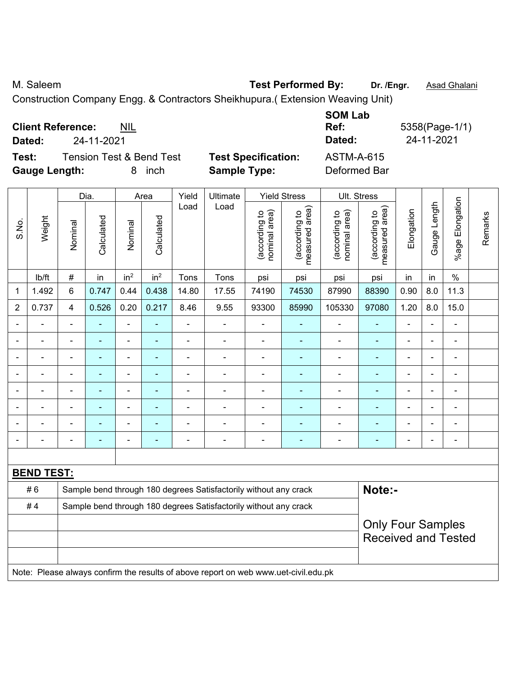M. Saleem **N. Saleem Test Performed By:** Dr. /Engr. **Asad Ghalani** 

Construction Company Engg. & Contractors Sheikhupura.( Extension Weaving Unit)

|                      | <b>Client Reference:</b> | <b>NIL</b>                          |                            | <b>SUM LAD</b><br>Ref: | 5358(Page-1/1) |
|----------------------|--------------------------|-------------------------------------|----------------------------|------------------------|----------------|
| Dated:               | 24-11-2021               |                                     |                            | Dated:                 | 24-11-2021     |
| Test:                |                          | <b>Tension Test &amp; Bend Test</b> | <b>Test Specification:</b> | ASTM-A-615             |                |
| <b>Gauge Length:</b> |                          | inch<br>8.                          | <b>Sample Type:</b>        | Deformed Bar           |                |

|                |                   | Dia.           |                | Area                         | Yield                    | Ultimate       |                                                                                     | <b>Yield Stress</b>            |                                 | Ult. Stress                    |                                 |                |                |                          |         |
|----------------|-------------------|----------------|----------------|------------------------------|--------------------------|----------------|-------------------------------------------------------------------------------------|--------------------------------|---------------------------------|--------------------------------|---------------------------------|----------------|----------------|--------------------------|---------|
| S.No.          | Weight            | Nominal        | Calculated     | Nominal                      | Calculated               | Load           | Load                                                                                | nominal area)<br>(according to | (according to<br>measured area) | nominal area)<br>(according to | (according to<br>measured area) | Elongation     | Gauge Length   | %age Elongation          | Remarks |
|                | Ib/ft             | #              | in             | in <sup>2</sup>              | in <sup>2</sup>          | Tons           | Tons                                                                                | psi                            | psi                             | psi                            | psi                             | in             | in             | $\%$                     |         |
| 1              | 1.492             | 6              | 0.747          | 0.44                         | 0.438                    | 14.80          | 17.55                                                                               | 74190                          | 74530                           | 87990                          | 88390                           | 0.90           | 8.0            | 11.3                     |         |
| $\overline{2}$ | 0.737             | $\overline{4}$ | 0.526          | 0.20                         | 0.217                    | 8.46           | 9.55                                                                                | 93300                          | 85990                           | 105330                         | 97080                           | 1.20           | 8.0            | 15.0                     |         |
|                | $\blacksquare$    | $\blacksquare$ | ä,             | $\blacksquare$               |                          | $\blacksquare$ | ä,                                                                                  |                                | ۰                               | $\blacksquare$                 | $\blacksquare$                  | ä,             | $\blacksquare$ | $\overline{\phantom{0}}$ |         |
|                | $\blacksquare$    | $\blacksquare$ | ÷,             | $\overline{\phantom{0}}$     | ÷                        | $\blacksquare$ | ÷                                                                                   | $\blacksquare$                 | ۰                               | $\blacksquare$                 | $\blacksquare$                  | $\blacksquare$ |                | $\blacksquare$           |         |
|                |                   |                | $\blacksquare$ | $\blacksquare$               |                          |                | $\overline{a}$                                                                      | $\blacksquare$                 |                                 | $\blacksquare$                 | $\blacksquare$                  | Ĭ.             |                | $\overline{a}$           |         |
|                |                   |                |                | $\qquad \qquad \blacksquare$ |                          |                | $\blacksquare$                                                                      | $\overline{\phantom{0}}$       |                                 | $\blacksquare$                 | $\blacksquare$                  |                |                | $\blacksquare$           |         |
|                |                   |                |                | ÷,                           |                          |                | ÷                                                                                   | $\overline{a}$                 |                                 | $\blacksquare$                 | $\blacksquare$                  |                |                | $\overline{a}$           |         |
|                | ÷                 |                | ۰              | ۰                            |                          | $\blacksquare$ | $\blacksquare$                                                                      |                                | ۰                               | $\blacksquare$                 | $\blacksquare$                  | ä,             | $\blacksquare$ | $\overline{\phantom{a}}$ |         |
|                |                   |                | ۰              | ۰                            |                          |                | $\blacksquare$                                                                      |                                | ۰                               | $\blacksquare$                 | $\blacksquare$                  | ÷              |                | ÷                        |         |
|                | ÷                 |                | ÷,             | $\overline{\phantom{0}}$     |                          | $\blacksquare$ | ÷                                                                                   |                                | ۰                               | $\overline{\phantom{a}}$       | $\blacksquare$                  | Ē,             |                | ä,                       |         |
|                |                   |                |                |                              |                          |                |                                                                                     |                                |                                 |                                |                                 |                |                |                          |         |
|                | <b>BEND TEST:</b> |                |                |                              |                          |                |                                                                                     |                                |                                 |                                |                                 |                |                |                          |         |
|                | #6                |                |                |                              |                          |                | Sample bend through 180 degrees Satisfactorily without any crack                    |                                |                                 |                                | Note:-                          |                |                |                          |         |
|                | #4                |                |                |                              |                          |                | Sample bend through 180 degrees Satisfactorily without any crack                    |                                |                                 |                                |                                 |                |                |                          |         |
|                |                   |                |                |                              | <b>Only Four Samples</b> |                |                                                                                     |                                |                                 |                                |                                 |                |                |                          |         |
|                |                   |                |                |                              |                          |                |                                                                                     |                                |                                 |                                | <b>Received and Tested</b>      |                |                |                          |         |
|                |                   |                |                |                              |                          |                |                                                                                     |                                |                                 |                                |                                 |                |                |                          |         |
|                |                   |                |                |                              |                          |                | Note: Please always confirm the results of above report on web www.uet-civil.edu.pk |                                |                                 |                                |                                 |                |                |                          |         |

**SOM Lab**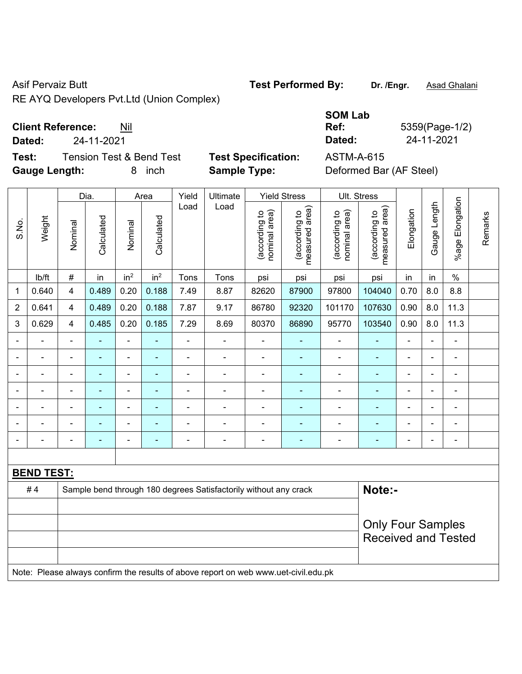RE AYQ Developers Pvt.Ltd (Union Complex)

**Client Reference:** Nil

**Test:** Tension Test & Bend Test **Test Specification:** ASTM-A-615 **Gauge Length:** 8 inch **Sample Type:** Deformed Bar (AF Steel)

|                |                   |                          | Dia.           |                          | Area            | Yield          | Ultimate                                                                            |                                | <b>Yield Stress</b>             |                                | Ult. Stress                        |                          |                |                          |         |
|----------------|-------------------|--------------------------|----------------|--------------------------|-----------------|----------------|-------------------------------------------------------------------------------------|--------------------------------|---------------------------------|--------------------------------|------------------------------------|--------------------------|----------------|--------------------------|---------|
| S.No.          | Weight            | Nominal                  | Calculated     | Nominal                  | Calculated      | Load           | Load                                                                                | nominal area)<br>(according to | (according to<br>measured area) | (according to<br>nominal area) | area)<br>(according to<br>measured | Elongation               | Gauge Length   | %age Elongation          | Remarks |
|                | lb/ft             | $\#$                     | in             | in <sup>2</sup>          | in <sup>2</sup> | Tons           | Tons                                                                                | psi                            | psi                             | psi                            | psi                                | in                       | in             | $\%$                     |         |
| $\mathbf{1}$   | 0.640             | $\overline{\mathbf{4}}$  | 0.489          | 0.20                     | 0.188           | 7.49           | 8.87                                                                                | 82620                          | 87900                           | 97800                          | 104040                             | 0.70                     | 8.0            | 8.8                      |         |
| $\overline{2}$ | 0.641             | $\overline{\mathbf{4}}$  | 0.489          | 0.20                     | 0.188           | 7.87           | 9.17                                                                                | 86780                          | 92320                           | 101170                         | 107630                             | 0.90                     | 8.0            | 11.3                     |         |
| 3              | 0.629             | $\overline{\mathbf{4}}$  | 0.485          | 0.20                     | 0.185           | 7.29           | 8.69                                                                                | 80370                          | 86890                           | 95770                          | 103540                             | 0.90                     | 8.0            | 11.3                     |         |
|                | ÷                 | $\blacksquare$           |                | $\blacksquare$           |                 | $\blacksquare$ | ÷,                                                                                  | $\blacksquare$                 | $\blacksquare$                  | $\blacksquare$                 |                                    | $\blacksquare$           | $\blacksquare$ | $\blacksquare$           |         |
| $\blacksquare$ |                   | $\blacksquare$           | ÷,             | $\blacksquare$           | $\blacksquare$  | ä,             | $\blacksquare$                                                                      | ÷,                             | $\blacksquare$                  | $\overline{\phantom{a}}$       | ÷,                                 | $\blacksquare$           | ä,             | $\blacksquare$           |         |
|                |                   | $\blacksquare$           |                | $\blacksquare$           |                 | $\blacksquare$ | $\blacksquare$                                                                      | $\blacksquare$                 |                                 |                                |                                    | L,                       |                |                          |         |
|                |                   | $\overline{\phantom{a}}$ |                | $\blacksquare$           |                 | $\blacksquare$ | $\blacksquare$                                                                      | $\blacksquare$                 | ÷                               | $\blacksquare$                 |                                    | ÷                        | $\blacksquare$ | ÷,                       |         |
|                |                   | $\overline{\phantom{0}}$ | $\blacksquare$ | $\blacksquare$           | ٠               | $\blacksquare$ | $\blacksquare$                                                                      | $\blacksquare$                 | ٠                               | $\overline{\phantom{0}}$       | $\blacksquare$                     | $\blacksquare$           | $\blacksquare$ | $\blacksquare$           |         |
|                |                   | $\blacksquare$           | $\blacksquare$ | $\overline{\phantom{a}}$ |                 | $\blacksquare$ | $\blacksquare$                                                                      | $\blacksquare$                 | $\blacksquare$                  | $\blacksquare$                 |                                    | L,                       | $\blacksquare$ | $\blacksquare$           |         |
| $\blacksquare$ |                   | ÷                        | $\blacksquare$ | $\overline{\phantom{a}}$ | ٠               | $\blacksquare$ | ÷                                                                                   | $\blacksquare$                 | $\blacksquare$                  | $\blacksquare$                 | $\blacksquare$                     | $\blacksquare$           | $\blacksquare$ | $\overline{\phantom{a}}$ |         |
|                |                   |                          |                |                          |                 |                |                                                                                     |                                |                                 |                                |                                    |                          |                |                          |         |
|                | <b>BEND TEST:</b> |                          |                |                          |                 |                |                                                                                     |                                |                                 |                                |                                    |                          |                |                          |         |
|                | #4                |                          |                |                          |                 |                | Sample bend through 180 degrees Satisfactorily without any crack                    |                                |                                 |                                | Note:-                             |                          |                |                          |         |
|                |                   |                          |                |                          |                 |                |                                                                                     |                                |                                 |                                |                                    |                          |                |                          |         |
|                |                   |                          |                |                          |                 |                |                                                                                     |                                |                                 |                                |                                    | <b>Only Four Samples</b> |                |                          |         |
|                |                   |                          |                |                          |                 |                |                                                                                     |                                |                                 |                                | <b>Received and Tested</b>         |                          |                |                          |         |
|                |                   |                          |                |                          |                 |                |                                                                                     |                                |                                 |                                |                                    |                          |                |                          |         |
|                |                   |                          |                |                          |                 |                | Note: Please always confirm the results of above report on web www.uet-civil.edu.pk |                                |                                 |                                |                                    |                          |                |                          |         |

## **SOM Lab Ref:** 5359(Page-1/2) **Dated:** 24-11-2021 **Dated:** 24-11-2021

Asif Pervaiz Butt **Test Performed By:** Dr. /Engr. **Asad Ghalani**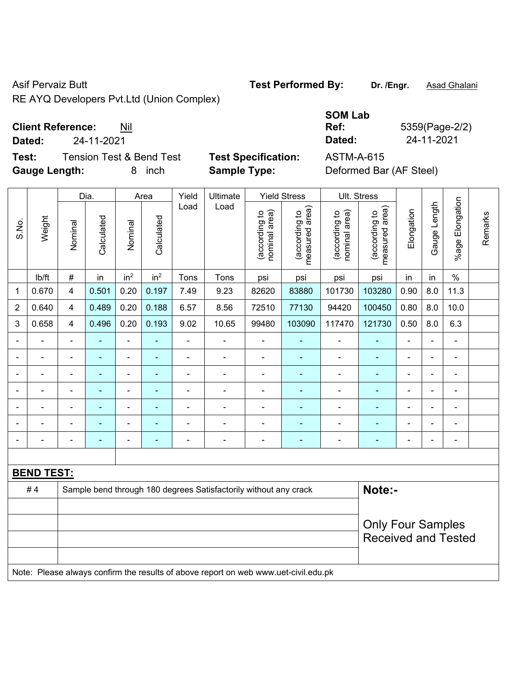Asif Pervaiz Butt **Test Performed By:** Dr. /Engr. **Asad Ghalani** RE AYQ Developers Pvt.Ltd (Union Complex)

**Client Reference:** Nil

**Dated:** 24-11-2021 **Dated:** 24-11-2021

**Test:** Tension Test & Bend Test **Test Specification:** ASTM-A-615 **Gauge Length:** 8 inch **Sample Type:** Deformed Bar (AF Steel)

|                |                   |                | Dia.                                                             |                              | Area            | Yield<br>Ultimate            |                |                                | <b>Yield Stress</b>             |                                | Ult. Stress                     |                |                |                          |         |
|----------------|-------------------|----------------|------------------------------------------------------------------|------------------------------|-----------------|------------------------------|----------------|--------------------------------|---------------------------------|--------------------------------|---------------------------------|----------------|----------------|--------------------------|---------|
| S.No.          | Weight            | Nominal        | Calculated                                                       | Nominal                      | Calculated      | Load                         | Load           | nominal area)<br>(according to | measured area)<br>(according to | nominal area)<br>(according to | (according to<br>measured area) | Elongation     | Gauge Length   | Elongation<br>$%$ age    | Remarks |
|                | lb/ft             | $\#$           | in                                                               | in <sup>2</sup>              | in <sup>2</sup> | Tons                         | Tons           | psi                            | psi                             | psi                            | psi                             | in             | in             | $\%$                     |         |
| 1              | 0.670             | 4              | 0.501                                                            | 0.20                         | 0.197           | 7.49                         | 9.23           | 82620                          | 83880                           | 101730                         | 103280                          | 0.90           | 8.0            | 11.3                     |         |
| 2              | 0.640             | 4              | 0.489                                                            | 0.20                         | 0.188           | 6.57                         | 8.56           | 72510                          | 77130                           | 94420                          | 100450                          | 0.80           | 8.0            | 10.0                     |         |
| 3              | 0.658             | 4              | 0.496                                                            | 0.20                         | 0.193           | 9.02                         | 10.65          | 99480                          | 103090                          | 117470                         | 121730                          | 0.50           | 8.0            | 6.3                      |         |
|                |                   | $\blacksquare$ | ٠                                                                | $\overline{\phantom{a}}$     | ۰               | $\qquad \qquad \blacksquare$ | ٠              | $\qquad \qquad \blacksquare$   |                                 | $\blacksquare$                 | ۰                               | $\blacksquare$ |                | ÷                        |         |
| $\blacksquare$ |                   | $\blacksquare$ | $\overline{\phantom{0}}$                                         | $\overline{\phantom{a}}$     | $\blacksquare$  | $\overline{a}$               | $\blacksquare$ | $\overline{\phantom{a}}$       | $\blacksquare$                  | $\overline{\phantom{a}}$       | $\overline{\phantom{0}}$        | $\blacksquare$ | $\blacksquare$ | $\overline{\phantom{a}}$ |         |
|                | $\blacksquare$    | $\blacksquare$ | $\blacksquare$                                                   | $\overline{\phantom{0}}$     | ۰               | $\blacksquare$               | $\blacksquare$ | $\blacksquare$                 |                                 | $\blacksquare$                 | ۰                               | $\blacksquare$ | $\blacksquare$ | ÷                        |         |
|                |                   | $\blacksquare$ | $\blacksquare$                                                   | $\blacksquare$               | ۰               | $\blacksquare$               | $\blacksquare$ | $\blacksquare$                 | ۰                               | $\blacksquare$                 | ÷                               | $\blacksquare$ | L,             | ä,                       |         |
|                |                   | $\blacksquare$ |                                                                  | $\blacksquare$               | ٠               | ٠                            | ٠              | $\blacksquare$                 |                                 | ÷                              |                                 |                |                | $\blacksquare$           |         |
|                |                   | $\blacksquare$ | $\blacksquare$                                                   | $\blacksquare$               | ۰               |                              | ٠              | $\blacksquare$                 |                                 | $\overline{\phantom{0}}$       | ä,                              | $\blacksquare$ | $\blacksquare$ | ÷                        |         |
|                |                   | $\blacksquare$ | $\blacksquare$                                                   | $\qquad \qquad \blacksquare$ | ۰               | $\overline{a}$               | $\blacksquare$ | $\blacksquare$                 | $\blacksquare$                  | $\blacksquare$                 | ÷,                              | $\blacksquare$ | $\blacksquare$ | ÷,                       |         |
|                |                   |                |                                                                  |                              |                 |                              |                |                                |                                 |                                |                                 |                |                |                          |         |
|                | <b>BEND TEST:</b> |                |                                                                  |                              |                 |                              |                |                                |                                 |                                |                                 |                |                |                          |         |
|                | #4                |                | Sample bend through 180 degrees Satisfactorily without any crack |                              | Note:-          |                              |                |                                |                                 |                                |                                 |                |                |                          |         |
|                |                   |                |                                                                  |                              |                 |                              |                |                                |                                 |                                |                                 |                |                |                          |         |
|                |                   |                |                                                                  |                              |                 |                              |                |                                |                                 |                                | <b>Only Four Samples</b>        |                |                |                          |         |
|                |                   |                |                                                                  |                              |                 |                              |                |                                |                                 |                                | <b>Received and Tested</b>      |                |                |                          |         |
|                |                   |                |                                                                  |                              |                 |                              |                |                                |                                 |                                |                                 |                |                |                          |         |

Note: Please always confirm the results of above report on web www.uet-civil.edu.pk

**SOM Lab** 

**Ref:** 5359(Page-2/2)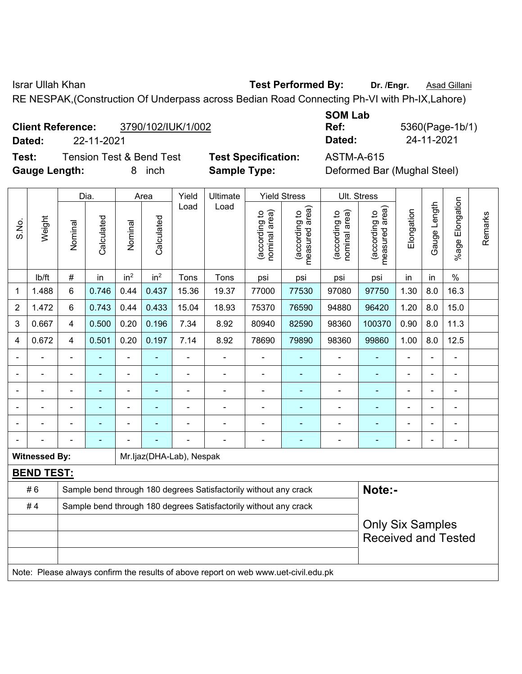Israr Ullah Khan **Test Performed By:** Dr. /Engr. **Asad Gillani** 

RE NESPAK,(Construction Of Underpass across Bedian Road Connecting Ph-VI with Ph-IX,Lahore)

#### **Client Reference:** 3790/102/IUK/1/002

**Dated:** 22-11-2021 **Dated:** 24-11-2021

**Test:** Tension Test & Bend Test **Test Specification:** ASTM-A-615 **Gauge Length:** 8 inch **Sample Type:** Deformed Bar (Mughal Steel)

| <b>SOM Lab</b> |                 |
|----------------|-----------------|
| Ref:           | 5360(Page-1b/1) |
| Dated:         | 24-11-2021      |

|                |                      |                                                                  | Dia.           |                          | Area            | Yield                    | Ultimate                                                                            |                                | <b>Yield Stress</b>             |                                | Ult. Stress                     |                |                |                 |         |
|----------------|----------------------|------------------------------------------------------------------|----------------|--------------------------|-----------------|--------------------------|-------------------------------------------------------------------------------------|--------------------------------|---------------------------------|--------------------------------|---------------------------------|----------------|----------------|-----------------|---------|
| S.No.          | Weight               | Nominal                                                          | Calculated     | Nominal                  | Calculated      | Load                     | Load                                                                                | nominal area)<br>(according to | (according to<br>measured area) | nominal area)<br>(according to | measured area)<br>(according to | Elongation     | Gauge Length   | %age Elongation | Remarks |
|                | lb/ft                | #                                                                | in             | in <sup>2</sup>          | in <sup>2</sup> | Tons                     | Tons                                                                                | psi                            | psi                             | psi                            | psi                             | in             | in             | $\%$            |         |
| 1              | 1.488                | 6                                                                | 0.746          | 0.44                     | 0.437           | 15.36                    | 19.37                                                                               | 77000                          | 77530                           | 97080                          | 97750                           | 1.30           | 8.0            | 16.3            |         |
| $\overline{2}$ | 1.472                | 6                                                                | 0.743          | 0.44                     | 0.433           | 15.04                    | 18.93                                                                               | 75370                          | 76590                           | 94880                          | 96420                           | 1.20           | 8.0            | 15.0            |         |
| 3              | 0.667                | $\overline{4}$                                                   | 0.500          | 0.20                     | 0.196           | 7.34                     | 8.92                                                                                | 80940                          | 82590                           | 98360                          | 100370                          | 0.90           | 8.0            | 11.3            |         |
| 4              | 0.672                | $\overline{4}$                                                   | 0.501          | 0.20                     | 0.197           | 7.14                     | 8.92                                                                                | 78690                          | 79890                           | 98360                          | 99860                           | 1.00           | 8.0            | 12.5            |         |
|                |                      | $\blacksquare$                                                   |                |                          |                 |                          | L.                                                                                  | $\blacksquare$                 |                                 |                                |                                 | $\blacksquare$ |                | L.              |         |
| $\blacksquare$ | $\blacksquare$       | $\blacksquare$                                                   | $\blacksquare$ | ä,                       |                 |                          | Ē,                                                                                  | $\blacksquare$                 | ۰                               | $\blacksquare$                 | ÷,                              | $\blacksquare$ |                | $\blacksquare$  |         |
| $\blacksquare$ | $\blacksquare$       | -                                                                | $\blacksquare$ | $\overline{\phantom{a}}$ |                 | ÷                        | ÷                                                                                   | $\blacksquare$                 | ۰                               | $\blacksquare$                 | $\blacksquare$                  | $\blacksquare$ | $\overline{a}$ | $\blacksquare$  |         |
|                |                      | $\blacksquare$                                                   | ÷              | ÷                        |                 | ä,                       | ÷                                                                                   | $\blacksquare$                 |                                 | $\blacksquare$                 | ä,                              | $\blacksquare$ |                | ä,              |         |
|                |                      |                                                                  |                |                          |                 |                          |                                                                                     | $\blacksquare$                 |                                 |                                |                                 |                |                | ä,              |         |
|                |                      |                                                                  |                |                          |                 |                          |                                                                                     |                                |                                 |                                |                                 |                |                | ä,              |         |
|                | <b>Witnessed By:</b> |                                                                  |                |                          |                 | Mr.ljaz(DHA-Lab), Nespak |                                                                                     |                                |                                 |                                |                                 |                |                |                 |         |
|                | <b>BEND TEST:</b>    |                                                                  |                |                          |                 |                          |                                                                                     |                                |                                 |                                |                                 |                |                |                 |         |
|                | #6                   |                                                                  |                |                          |                 |                          | Sample bend through 180 degrees Satisfactorily without any crack                    |                                |                                 |                                | Note:-                          |                |                |                 |         |
|                | #4                   | Sample bend through 180 degrees Satisfactorily without any crack |                |                          |                 |                          |                                                                                     |                                |                                 |                                |                                 |                |                |                 |         |
|                |                      |                                                                  |                |                          |                 |                          |                                                                                     |                                |                                 |                                | <b>Only Six Samples</b>         |                |                |                 |         |
|                |                      |                                                                  |                |                          |                 |                          |                                                                                     |                                |                                 |                                | <b>Received and Tested</b>      |                |                |                 |         |
|                |                      |                                                                  |                |                          |                 |                          |                                                                                     |                                |                                 |                                |                                 |                |                |                 |         |
|                |                      |                                                                  |                |                          |                 |                          | Note: Please always confirm the results of above report on web www.uet-civil.edu.pk |                                |                                 |                                |                                 |                |                |                 |         |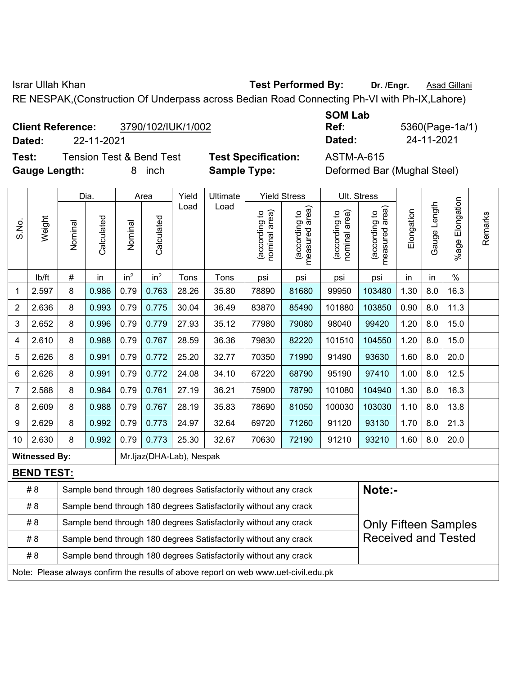Israr Ullah Khan **Test Performed By:** Dr. /Engr. **Asad Gillani** 

RE NESPAK,(Construction Of Underpass across Bedian Road Connecting Ph-VI with Ph-IX,Lahore)

#### **Client Reference:** 3790/102/IUK/1/002

**Dated:** 22-11-2021 **Dated:** 24-11-2021

**Test:** Tension Test & Bend Test **Test Specification:** ASTM-A-615 **Gauge Length:** 8 inch **Sample Type:** Deformed Bar (Mughal Steel)

| <b>SOM Lab</b> |                 |
|----------------|-----------------|
| Ref:           | 5360(Page-1a/1) |
| Dated:         | 24-11-2021      |

|       |                                                                                                       |         | Dia.       |                 | Area            | Yield                    | Ultimate                                                         |                                | <b>Yield Stress</b>             |                                | Ult. Stress                     |            |              |                       |         |
|-------|-------------------------------------------------------------------------------------------------------|---------|------------|-----------------|-----------------|--------------------------|------------------------------------------------------------------|--------------------------------|---------------------------------|--------------------------------|---------------------------------|------------|--------------|-----------------------|---------|
| S.No. | Weight                                                                                                | Nominal | Calculated | Nominal         | Calculated      | Load                     | Load                                                             | nominal area)<br>(according to | (according to<br>measured area) | nominal area)<br>(according to | (according to<br>measured area) | Elongation | Gauge Length | Elongation<br>$%$ age | Remarks |
|       | lb/ft                                                                                                 | #       | in         | in <sup>2</sup> | in <sup>2</sup> | Tons                     | Tons                                                             | psi                            | psi                             | psi                            | psi                             | in         | in           | $\%$                  |         |
| 1     | 2.597                                                                                                 | 8       | 0.986      | 0.79            | 0.763           | 28.26                    | 35.80                                                            | 78890                          | 81680                           | 99950                          | 103480                          | 1.30       | 8.0          | 16.3                  |         |
| 2     | 2.636                                                                                                 | 8       | 0.993      | 0.79            | 0.775           | 30.04                    | 36.49                                                            | 83870                          | 85490                           | 101880                         | 103850                          | 0.90       | 8.0          | 11.3                  |         |
| 3     | 2.652                                                                                                 | 8       | 0.996      | 0.79            | 0.779           | 27.93                    | 35.12                                                            | 77980                          | 79080                           | 98040                          | 99420                           | 1.20       | 8.0          | 15.0                  |         |
| 4     | 2.610                                                                                                 | 8       | 0.988      | 0.79            | 0.767           | 28.59                    | 36.36                                                            | 79830                          | 82220                           | 101510                         | 104550                          | 1.20       | 8.0          | 15.0                  |         |
| 5     | 2.626                                                                                                 | 8       | 0.991      | 0.79            | 0.772           | 25.20                    | 32.77                                                            | 70350                          | 71990                           | 91490                          | 93630                           | 1.60       | 8.0          | 20.0                  |         |
| 6     | 2.626                                                                                                 | 8       | 0.991      | 0.79            | 0.772           | 24.08                    | 34.10                                                            | 67220                          | 68790                           | 95190                          | 97410                           | 1.00       | 8.0          | 12.5                  |         |
| 7     | 2.588                                                                                                 | 8       | 0.984      | 0.79            | 0.761           | 27.19                    | 36.21                                                            | 75900                          | 78790                           | 101080                         | 104940                          | 1.30       | 8.0          | 16.3                  |         |
| 8     | 2.609                                                                                                 | 8       | 0.988      | 0.79            | 0.767           | 28.19                    | 35.83                                                            | 78690                          | 81050                           | 100030                         | 103030                          | 1.10       | 8.0          | 13.8                  |         |
| 9     | 2.629                                                                                                 | 8       | 0.992      | 0.79            | 0.773           | 24.97                    | 32.64                                                            | 69720                          | 71260                           | 91120                          | 93130                           | 1.70       | 8.0          | 21.3                  |         |
| 10    | 2.630                                                                                                 | 8       | 0.992      | 0.79            | 0.773           | 25.30                    | 32.67                                                            | 70630                          | 72190                           | 91210                          | 93210                           | 1.60       | 8.0          | 20.0                  |         |
|       | <b>Witnessed By:</b>                                                                                  |         |            |                 |                 | Mr.ljaz(DHA-Lab), Nespak |                                                                  |                                |                                 |                                |                                 |            |              |                       |         |
|       | <b>BEND TEST:</b>                                                                                     |         |            |                 |                 |                          |                                                                  |                                |                                 |                                |                                 |            |              |                       |         |
|       | # 8                                                                                                   |         |            |                 |                 |                          | Sample bend through 180 degrees Satisfactorily without any crack |                                |                                 |                                | Note:-                          |            |              |                       |         |
|       | # 8                                                                                                   |         |            |                 |                 |                          | Sample bend through 180 degrees Satisfactorily without any crack |                                |                                 |                                |                                 |            |              |                       |         |
|       | # 8                                                                                                   |         |            |                 |                 |                          | Sample bend through 180 degrees Satisfactorily without any crack |                                |                                 |                                | <b>Only Fifteen Samples</b>     |            |              |                       |         |
|       | <b>Received and Tested</b><br># 8<br>Sample bend through 180 degrees Satisfactorily without any crack |         |            |                 |                 |                          |                                                                  |                                |                                 |                                |                                 |            |              |                       |         |
|       | # 8<br>Sample bend through 180 degrees Satisfactorily without any crack                               |         |            |                 |                 |                          |                                                                  |                                |                                 |                                |                                 |            |              |                       |         |
|       | Note: Please always confirm the results of above report on web www.uet-civil.edu.pk                   |         |            |                 |                 |                          |                                                                  |                                |                                 |                                |                                 |            |              |                       |         |